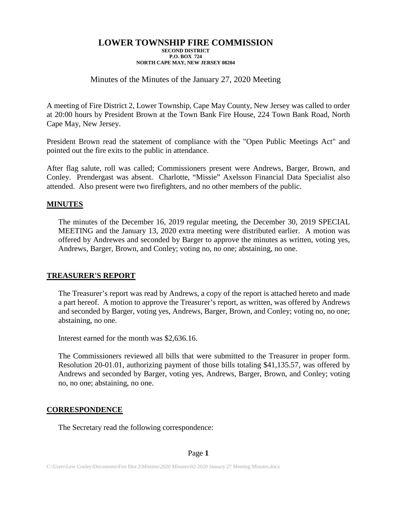# Minutes of the Minutes of the January 27, 2020 Meeting

A meeting of Fire District 2, Lower Township, Cape May County, New Jersey was called to order at 20:00 hours by President Brown at the Town Bank Fire House, 224 Town Bank Road, North Cape May, New Jersey.

President Brown read the statement of compliance with the "Open Public Meetings Act" and pointed out the fire exits to the public in attendance.

After flag salute, roll was called; Commissioners present were Andrews, Barger, Brown, and Conley. Prendergast was absent. Charlotte, "Missie" Axelsson Financial Data Specialist also attended. Also present were two firefighters, and no other members of the public.

### **MINUTES**

The minutes of the December 16, 2019 regular meeting, the December 30, 2019 SPECIAL MEETING and the January 13, 2020 extra meeting were distributed earlier. A motion was offered by Andrewes and seconded by Barger to approve the minutes as written, voting yes, Andrews, Barger, Brown, and Conley; voting no, no one; abstaining, no one.

### **TREASURER'S REPORT**

The Treasurer's report was read by Andrews, a copy of the report is attached hereto and made a part hereof. A motion to approve the Treasurer's report, as written, was offered by Andrews and seconded by Barger, voting yes, Andrews, Barger, Brown, and Conley; voting no, no one; abstaining, no one.

Interest earned for the month was \$2,636.16.

The Commissioners reviewed all bills that were submitted to the Treasurer in proper form. Resolution 20-01.01, authorizing payment of those bills totaling \$41,135.57, was offered by Andrews and seconded by Barger, voting yes, Andrews, Barger, Brown, and Conley; voting no, no one; abstaining, no one.

### **CORRESPONDENCE**

The Secretary read the following correspondence: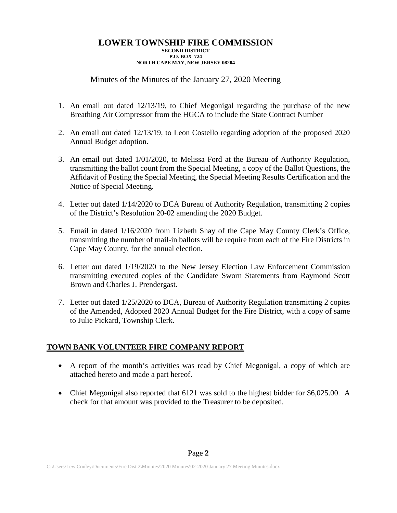# Minutes of the Minutes of the January 27, 2020 Meeting

- 1. An email out dated 12/13/19, to Chief Megonigal regarding the purchase of the new Breathing Air Compressor from the HGCA to include the State Contract Number
- 2. An email out dated 12/13/19, to Leon Costello regarding adoption of the proposed 2020 Annual Budget adoption.
- 3. An email out dated 1/01/2020, to Melissa Ford at the Bureau of Authority Regulation, transmitting the ballot count from the Special Meeting, a copy of the Ballot Questions, the Affidavit of Posting the Special Meeting, the Special Meeting Results Certification and the Notice of Special Meeting.
- 4. Letter out dated 1/14/2020 to DCA Bureau of Authority Regulation, transmitting 2 copies of the District's Resolution 20-02 amending the 2020 Budget.
- 5. Email in dated 1/16/2020 from Lizbeth Shay of the Cape May County Clerk's Office, transmitting the number of mail-in ballots will be require from each of the Fire Districts in Cape May County, for the annual election.
- 6. Letter out dated 1/19/2020 to the New Jersey Election Law Enforcement Commission transmitting executed copies of the Candidate Sworn Statements from Raymond Scott Brown and Charles J. Prendergast.
- 7. Letter out dated 1/25/2020 to DCA, Bureau of Authority Regulation transmitting 2 copies of the Amended, Adopted 2020 Annual Budget for the Fire District, with a copy of same to Julie Pickard, Township Clerk.

# **TOWN BANK VOLUNTEER FIRE COMPANY REPORT**

- A report of the month's activities was read by Chief Megonigal, a copy of which are attached hereto and made a part hereof.
- Chief Megonigal also reported that 6121 was sold to the highest bidder for \$6,025.00. A check for that amount was provided to the Treasurer to be deposited.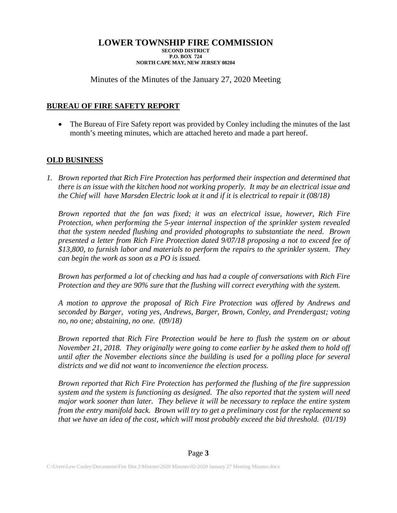# Minutes of the Minutes of the January 27, 2020 Meeting

# **BUREAU OF FIRE SAFETY REPORT**

• The Bureau of Fire Safety report was provided by Conley including the minutes of the last month's meeting minutes, which are attached hereto and made a part hereof.

# **OLD BUSINESS**

*1. Brown reported that Rich Fire Protection has performed their inspection and determined that there is an issue with the kitchen hood not working properly. It may be an electrical issue and the Chief will have Marsden Electric look at it and if it is electrical to repair it (08/18)*

*Brown reported that the fan was fixed; it was an electrical issue, however, Rich Fire Protection, when performing the 5-year internal inspection of the sprinkler system revealed that the system needed flushing and provided photographs to substantiate the need. Brown presented a letter from Rich Fire Protection dated 9/07/18 proposing a not to exceed fee of \$13,800, to furnish labor and materials to perform the repairs to the sprinkler system. They can begin the work as soon as a PO is issued.*

*Brown has performed a lot of checking and has had a couple of conversations with Rich Fire Protection and they are 90% sure that the flushing will correct everything with the system.*

*A motion to approve the proposal of Rich Fire Protection was offered by Andrews and seconded by Barger, voting yes, Andrews, Barger, Brown, Conley, and Prendergast; voting no, no one; abstaining, no one. (09/18)*

*Brown reported that Rich Fire Protection would be here to flush the system on or about November 21, 2018. They originally were going to come earlier by he asked them to hold off until after the November elections since the building is used for a polling place for several districts and we did not want to inconvenience the election process.*

*Brown reported that Rich Fire Protection has performed the flushing of the fire suppression system and the system is functioning as designed. The also reported that the system will need major work sooner than later. They believe it will be necessary to replace the entire system from the entry manifold back. Brown will try to get a preliminary cost for the replacement so that we have an idea of the cost, which will most probably exceed the bid threshold. (01/19)*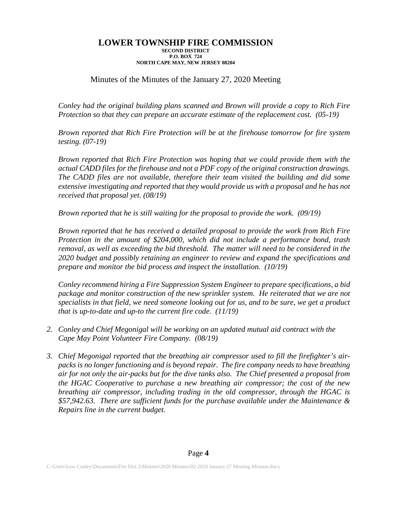# Minutes of the Minutes of the January 27, 2020 Meeting

*Conley had the original building plans scanned and Brown will provide a copy to Rich Fire Protection so that they can prepare an accurate estimate of the replacement cost. (05-19)*

*Brown reported that Rich Fire Protection will be at the firehouse tomorrow for fire system testing. (07-19)*

*Brown reported that Rich Fire Protection was hoping that we could provide them with the actual CADD files for the firehouse and not a PDF copy of the original construction drawings. The CADD files are not available, therefore their team visited the building and did some extensive investigating and reported that they would provide us with a proposal and he has not received that proposal yet. (08/19)*

*Brown reported that he is still waiting for the proposal to provide the work. (09/19)*

*Brown reported that he has received a detailed proposal to provide the work from Rich Fire Protection in the amount of \$204,000, which did not include a performance bond, trash removal, as well as exceeding the bid threshold. The matter will need to be considered in the 2020 budget and possibly retaining an engineer to review and expand the specifications and prepare and monitor the bid process and inspect the installation. (10/19)*

*Conley recommend hiring a Fire Suppression System Engineer to prepare specifications, a bid package and monitor construction of the new sprinkler system. He reiterated that we are not specialists in that field, we need someone looking out for us, and to be sure, we get a product that is up-to-date and up-to the current fire code. (11/19)*

- *2. Conley and Chief Megonigal will be working on an updated mutual aid contract with the Cape May Point Volunteer Fire Company. (08/19)*
- *3. Chief Megonigal reported that the breathing air compressor used to fill the firefighter's airpacks is no longer functioning and is beyond repair. The fire company needs to have breathing air for not only the air-packs but for the dive tanks also. The Chief presented a proposal from the HGAC Cooperative to purchase a new breathing air compressor; the cost of the new breathing air compressor, including trading in the old compressor, through the HGAC is \$57,942.63. There are sufficient funds for the purchase available under the Maintenance & Repairs line in the current budget.*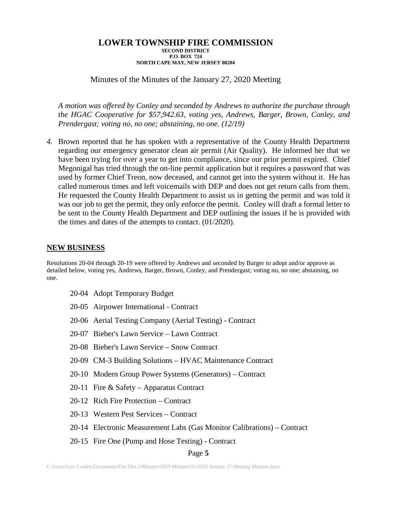Minutes of the Minutes of the January 27, 2020 Meeting

*A motion was offered by Conley and seconded by Andrews to authorize the purchase through the HGAC Cooperative for \$57,942.63, voting yes, Andrews, Barger, Brown, Conley, and Prendergast; voting no, no one; abstaining, no one. (12/19)*

*4.* Brown reported that he has spoken with a representative of the County Health Department regarding our emergency generator clean air permit (Air Quality). He informed her that we have been trying for over a year to get into compliance, since our prior permit expired. Chief Megonigal has tried through the on-line permit application but it requires a password that was used by former Chief Treon, now deceased, and cannot get into the system without it. He has called numerous times and left voicemails with DEP and does not get return calls from them. He requested the County Health Department to assist us in getting the permit and was told it was our job to get the permit, they only enforce the permit. Conley will draft a formal letter to be sent to the County Health Department and DEP outlining the issues if he is provided with the times and dates of the attempts to contact. (01/2020).

### **NEW BUSINESS**

Resolutions 20-04 through 20-19 were offered by Andrews and seconded by Barger to adopt and/or approve as detailed below, voting yes, Andrews, Barger, Brown, Conley, and Prendergast; voting no, no one; abstaining, no one.

- 20-04 Adopt Temporary Budget
- 20-05 Airpower International Contract
- 20-06 Aerial Testing Company (Aerial Testing) Contract
- 20-07 Bieber's Lawn Service Lawn Contract
- 20-08 Bieber's Lawn Service Snow Contract
- 20-09 CM-3 Building Solutions HVAC Maintenance Contract
- 20-10 Modern Group Power Systems (Generators) Contract
- 20-11 Fire & Safety Apparatus Contract
- 20-12 Rich Fire Protection Contract
- 20-13 Western Pest Services Contract
- 20-14 Electronic Measurement Labs (Gas Monitor Calibrations) Contract
- 20-15 Fire One (Pump and Hose Testing) Contract

### Page **5**